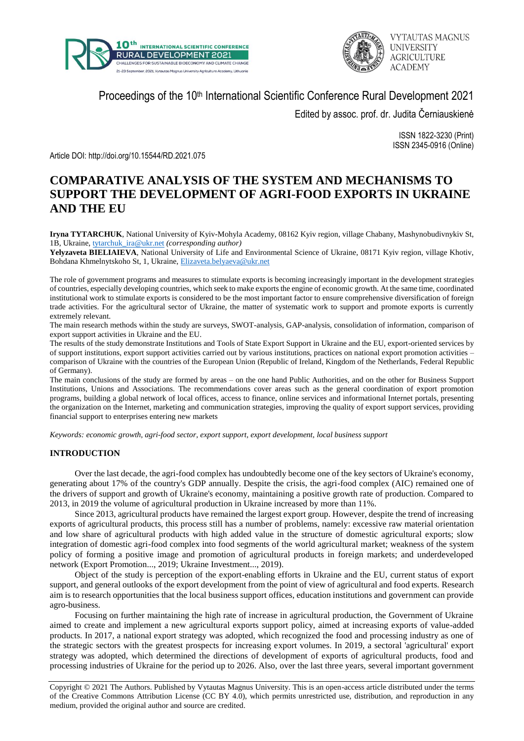



Proceedings of the 10<sup>th</sup> International Scientific Conference Rural Development 2021

Edited by assoc. prof. dr. Judita Černiauskienė

ISSN 1822-3230 (Print) ISSN 2345-0916 (Online)

Article DOI: http://doi.org/10.15544/RD.2021.075

# **COMPARATIVE ANALYSIS OF THE SYSTEM AND MECHANISMS TO SUPPORT THE DEVELOPMENT OF AGRI-FOOD EXPORTS IN UKRAINE AND THE EU**

**Iryna TYTARCHUK**, National University of Kyiv-Mohyla Academy, 08162 Kyiv region, village Chabany, Mashynobudivnykiv St, 1B, Ukraine, [tytarchuk\\_ira@ukr.net](mailto:tytarchuk_ira@ukr.net) *(corresponding author)*

**Yelyzaveta BIELIAIEVA**, National University of Life and Environmental Science of Ukraine, 08171 Kyiv region, village Khotiv, Bohdana Khmelnytskoho St, 1, Ukraine, [Elizaveta.belyaeva@ukr.net](mailto:Elizaveta.belyaeva@ukr.net)

The role of government programs and measures to stimulate exports is becoming increasingly important in the development strategies of countries, especially developing countries, which seek to make exports the engine of economic growth. At the same time, coordinated institutional work to stimulate exports is considered to be the most important factor to ensure comprehensive diversification of foreign trade activities. For the agricultural sector of Ukraine, the matter of systematic work to support and promote exports is currently extremely relevant.

The main research methods within the study are surveys, SWOT-analysis, GAP-analysis, consolidation of information, comparison of export support activities in Ukraine and the EU.

The results of the study demonstrate Institutions and Tools of State Export Support in Ukraine and the EU, export-oriented services by of support institutions, export support activities carried out by various institutions, practices on national export promotion activities – comparison of Ukraine with the countries of the European Union (Republic of Ireland, Kingdom of the Netherlands, Federal Republic of Germany).

The main conclusions of the study are formed by areas – on the one hand Public Authorities, and on the other for Business Support Institutions, Unions and Associations. The recommendations cover areas such as the general coordination of export promotion programs, building a global network of local offices, access to finance, online services and informational Internet portals, presenting the organization on the Internet, marketing and communication strategies, improving the quality of export support services, providing financial support to enterprises entering new markets

*Keywords: economic growth, agri-food sector, export support, export development, local business support*

## **INTRODUCTION**

Over the last decade, the agri-food complex has undoubtedly become one of the key sectors of Ukraine's economy, generating about 17% of the country's GDP annually. Despite the crisis, the agri-food complex (AIC) remained one of the drivers of support and growth of Ukraine's economy, maintaining a positive growth rate of production. Compared to 2013, in 2019 the volume of agricultural production in Ukraine increased by more than 11%.

Since 2013, agricultural products have remained the largest export group. However, despite the trend of increasing exports of agricultural products, this process still has a number of problems, namely: excessive raw material orientation and low share of agricultural products with high added value in the structure of domestic agricultural exports; slow integration of domestic agri-food complex into food segments of the world agricultural market; weakness of the system policy of forming a positive image and promotion of agricultural products in foreign markets; and underdeveloped network (Export Promotion..., 2019; Ukraine Investment..., 2019).

Object of the study is perception of the export-enabling efforts in Ukraine and the EU, current status of export support, and general outlooks of the export development from the point of view of agricultural and food experts. Research aim is to research opportunities that the local business support offices, education institutions and government can provide agro-business.

Focusing on further maintaining the high rate of increase in agricultural production, the Government of Ukraine aimed to create and implement a new agricultural exports support policy, aimed at increasing exports of value-added products. In 2017, a national export strategy was adopted, which recognized the food and processing industry as one of the strategic sectors with the greatest prospects for increasing export volumes. In 2019, a sectoral 'agricultural' export strategy was adopted, which determined the directions of development of exports of agricultural products, food and processing industries of Ukraine for the period up to 2026. Also, over the last three years, several important government

Copyright © 2021 The Authors. Published by Vytautas Magnus University. This is an open-access article distributed under the terms of the Creative Commons Attribution License (CC BY 4.0), which permits unrestricted use, distribution, and reproduction in any medium, provided the original author and source are credited.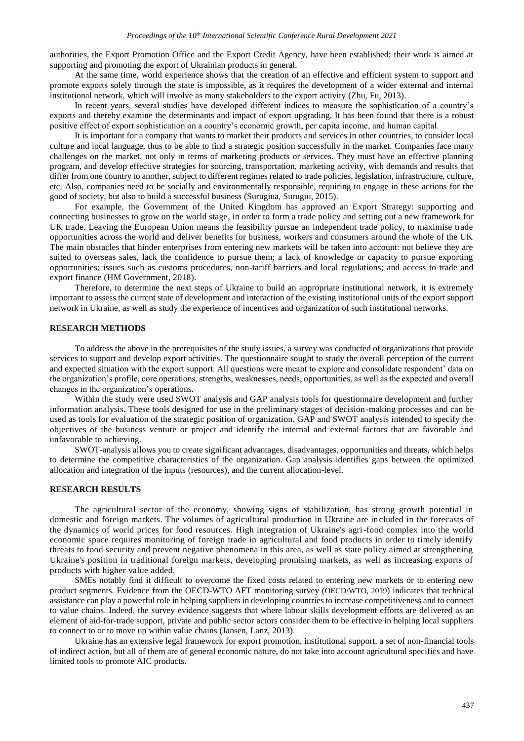authorities, the Export Promotion Office and the Export Credit Agency, have been established; their work is aimed at supporting and promoting the export of Ukrainian products in general.

At the same time, world experience shows that the creation of an effective and efficient system to support and promote exports solely through the state is impossible, as it requires the development of a wider external and internal institutional network, which will involve as many stakeholders to the export activity (Zhu, Fu, 2013).

In recent years, several studies have developed different indices to measure the sophistication of a country's exports and thereby examine the determinants and impact of export upgrading. It has been found that there is a robust positive effect of export sophistication on a country's economic growth, per capita income, and human capital.

It is important for a company that wants to market their products and services in other countries, to consider local culture and local language, thus to be able to find a strategic position successfully in the market. Companies face many challenges on the market, not only in terms of marketing products or services. They must have an effective planning program, and develop effective strategies for sourcing, transportation, marketing activity, with demands and results that differ from one country to another, subject to different regimes related to trade policies, legislation, infrastructure, culture, etc. Also, companies need to be socially and environmentally responsible, requiring to engage in these actions for the good of society, but also to build a successful business (Surugiua, Surugiu, 2015).

For example, the Government of the United Kingdom has approved an Export Strategy: supporting and connecting businesses to grow on the world stage, in order to form a trade policy and setting out a new framework for UK trade. Leaving the European Union means the feasibility pursue an independent trade policy, to maximise trade opportunities across the world and deliver benefits for business, workers and consumers around the whole of the UK The main obstacles that hinder enterprises from entering new markets will be taken into account: not believe they are suited to overseas sales, lack the confidence to pursue them; a lack of knowledge or capacity to pursue exporting opportunities; issues such as customs procedures, non-tariff barriers and local regulations; and access to trade and export finance (HM Government, 2018).

Therefore, to determine the next steps of Ukraine to build an appropriate institutional network, it is extremely important to assess the current state of development and interaction of the existing institutional units of the export support network in Ukraine, as well as study the experience of incentives and organization of such institutional networks.

### **RESEARCH METHODS**

To address the above in the prerequisites of the study issues, a survey was conducted of organizations that provide services to support and develop export activities. The questionnaire sought to study the overall perception of the current and expected situation with the export support. All questions were meant to explore and consolidate respondent' data on the organization's profile, core operations, strengths, weaknesses, needs, opportunities, as well as the expected and overall changes in the organization's operations.

Within the study were used SWOT analysis and GAP analysis tools for questionnaire development and further information analysis. These tools designed for use in the preliminary stages of decision-making processes and can be used as tools for evaluation of the strategic position of organization. GAP and SWOT analysis intended to specify the objectives of the business venture or project and identify the internal and external factors that are favorable and unfavorable to achieving.

SWOT-analysis allows you to create significant advantages, disadvantages, opportunities and threats, which helps to determine the competitive characteristics of the organization. Gap analysis identifies gaps between the optimized allocation and integration of the inputs (resources), and the current allocation-level.

#### **RESEARCH RESULTS**

The agricultural sector of the economy, showing signs of stabilization, has strong growth potential in domestic and foreign markets. The volumes of agricultural production in Ukraine are included in the forecasts of the dynamics of world prices for food resources. High integration of Ukraine's agri-food complex into the world economic space requires monitoring of foreign trade in agricultural and food products in order to timely identify threats to food security and prevent negative phenomena in this area, as well as state policy aimed at strengthening Ukraine's position in traditional foreign markets, developing promising markets, as well as increasing exports of products with higher value added.

SMEs notably find it difficult to overcome the fixed costs related to entering new markets or to entering new product segments. Evidence from the OECD-WTO AFT monitoring survey (OECD/WTO, 2019) indicates that technical assistance can play a powerful role in helping suppliers in developing countries to increase competitiveness and to connect to value chains. Indeed, the survey evidence suggests that where labour skills development efforts are delivered as an element of aid-for-trade support, private and public sector actors consider them to be effective in helping local suppliers to connect to or to move up within value chains (Jansen, Lanz, 2013).

Ukraine has an extensive legal framework for export promotion, institutional support, a set of non-financial tools of indirect action, but all of them are of general economic nature, do not take into account agricultural specifics and have limited tools to promote AIC products.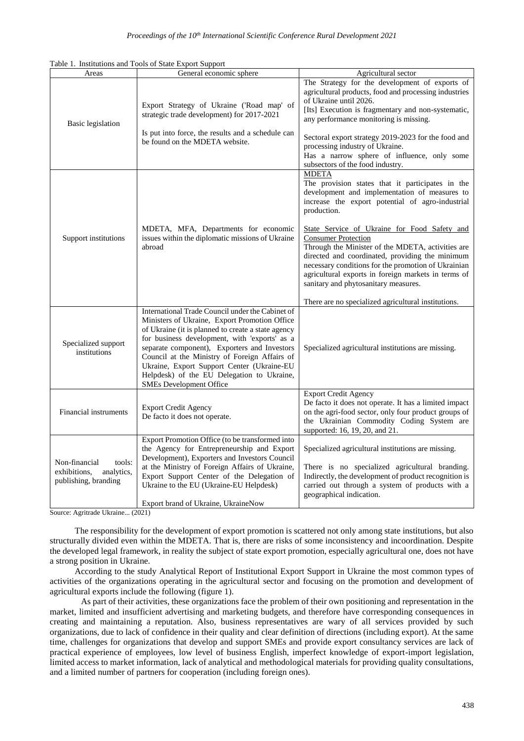| Table 1. Institutions and Tools of State Export Support |  |  |  |  |
|---------------------------------------------------------|--|--|--|--|
|---------------------------------------------------------|--|--|--|--|

| Areas                                                                         | General economic sphere                                                                                                                                                                                                                                                                                                                                                                                                                 | Agricultural sector                                                                                                                                                                                                                                                                                                                                                                                                                                                                                                                                                                     |
|-------------------------------------------------------------------------------|-----------------------------------------------------------------------------------------------------------------------------------------------------------------------------------------------------------------------------------------------------------------------------------------------------------------------------------------------------------------------------------------------------------------------------------------|-----------------------------------------------------------------------------------------------------------------------------------------------------------------------------------------------------------------------------------------------------------------------------------------------------------------------------------------------------------------------------------------------------------------------------------------------------------------------------------------------------------------------------------------------------------------------------------------|
| <b>Basic</b> legislation                                                      | Export Strategy of Ukraine ('Road map' of<br>strategic trade development) for 2017-2021<br>Is put into force, the results and a schedule can<br>be found on the MDETA website.                                                                                                                                                                                                                                                          | The Strategy for the development of exports of<br>agricultural products, food and processing industries<br>of Ukraine until 2026.<br>[Its] Execution is fragmentary and non-systematic,<br>any performance monitoring is missing.<br>Sectoral export strategy 2019-2023 for the food and<br>processing industry of Ukraine.<br>Has a narrow sphere of influence, only some<br>subsectors of the food industry.                                                                                                                                                                          |
| Support institutions                                                          | MDETA, MFA, Departments for economic<br>issues within the diplomatic missions of Ukraine<br>abroad                                                                                                                                                                                                                                                                                                                                      | <b>MDETA</b><br>The provision states that it participates in the<br>development and implementation of measures to<br>increase the export potential of agro-industrial<br>production.<br>State Service of Ukraine for Food Safety and<br><b>Consumer Protection</b><br>Through the Minister of the MDETA, activities are<br>directed and coordinated, providing the minimum<br>necessary conditions for the promotion of Ukrainian<br>agricultural exports in foreign markets in terms of<br>sanitary and phytosanitary measures.<br>There are no specialized agricultural institutions. |
| Specialized support<br>institutions                                           | International Trade Council under the Cabinet of<br>Ministers of Ukraine, Export Promotion Office<br>of Ukraine (it is planned to create a state agency<br>for business development, with 'exports' as a<br>separate component), Exporters and Investors<br>Council at the Ministry of Foreign Affairs of<br>Ukraine, Export Support Center (Ukraine-EU<br>Helpdesk) of the EU Delegation to Ukraine,<br><b>SMEs Development Office</b> | Specialized agricultural institutions are missing.                                                                                                                                                                                                                                                                                                                                                                                                                                                                                                                                      |
| Financial instruments                                                         | <b>Export Credit Agency</b><br>De facto it does not operate.                                                                                                                                                                                                                                                                                                                                                                            | <b>Export Credit Agency</b><br>De facto it does not operate. It has a limited impact<br>on the agri-food sector, only four product groups of<br>the Ukrainian Commodity Coding System are<br>supported: 16, 19, 20, and 21.                                                                                                                                                                                                                                                                                                                                                             |
| Non-financial<br>tools:<br>exhibitions,<br>analytics,<br>publishing, branding | Export Promotion Office (to be transformed into<br>the Agency for Entrepreneurship and Export<br>Development), Exporters and Investors Council<br>at the Ministry of Foreign Affairs of Ukraine,<br>Export Support Center of the Delegation of<br>Ukraine to the EU (Ukraine-EU Helpdesk)<br>Export brand of Ukraine, UkraineNow                                                                                                        | Specialized agricultural institutions are missing.<br>There is no specialized agricultural branding.<br>Indirectly, the development of product recognition is<br>carried out through a system of products with a<br>geographical indication.                                                                                                                                                                                                                                                                                                                                            |

Source: Agritrade Ukraine... (2021)

The responsibility for the development of export promotion is scattered not only among state institutions, but also structurally divided even within the MDETA. That is, there are risks of some inconsistency and incoordination. Despite the developed legal framework, in reality the subject of state export promotion, especially agricultural one, does not have a strong position in Ukraine.

According to the study Analytical Report of Institutional Export Support in Ukraine the most common types of activities of the organizations operating in the agricultural sector and focusing on the promotion and development of agricultural exports include the following (figure 1).

As part of their activities, these organizations face the problem of their own positioning and representation in the market, limited and insufficient advertising and marketing budgets, and therefore have corresponding consequences in creating and maintaining a reputation. Also, business representatives are wary of all services provided by such organizations, due to lack of confidence in their quality and clear definition of directions (including export). At the same time, challenges for organizations that develop and support SMEs and provide export consultancy services are lack of practical experience of employees, low level of business English, imperfect knowledge of export-import legislation, limited access to market information, lack of analytical and methodological materials for providing quality consultations, and a limited number of partners for cooperation (including foreign ones).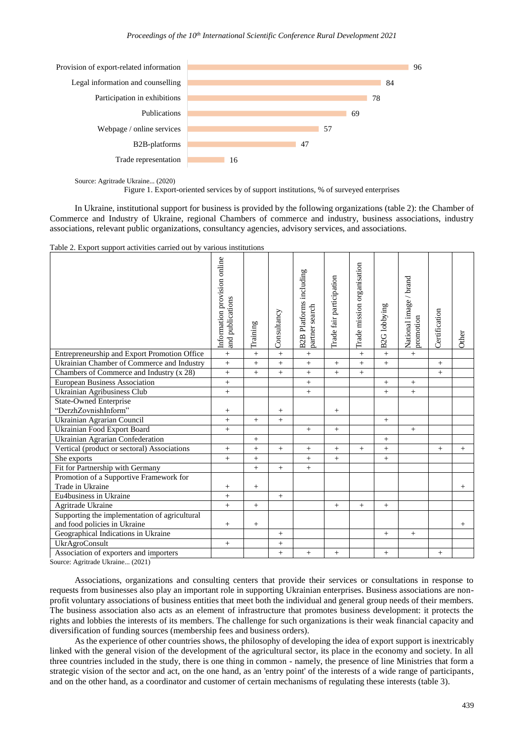#### *Proceedings of the 10th International Scientific Conference Rural Development 2021*



Source: Agritrade Ukraine... (2020)

Figure 1. Export-oriented services by of support institutions, % of surveyed enterprises

In Ukraine, institutional support for business is provided by the following organizations (table 2): the Chamber of Commerce and Industry of Ukraine, regional Chambers of commerce and industry, business associations, industry associations, relevant public organizations, consultancy agencies, advisory services, and associations.

|  |  |  |  |  |  |  |  | Table 2. Export support activities carried out by various institutions |
|--|--|--|--|--|--|--|--|------------------------------------------------------------------------|
|--|--|--|--|--|--|--|--|------------------------------------------------------------------------|

| Table 2. Export support activities carried out by various institutions | Information provision online<br>and publications | Training        | Consultancy     | <b>B2B Platforms including</b><br>partner search | Trade fair participation | Trade mission organisation | <b>B2G</b> lobbying | National image / brand<br>promotion | Certification | Other  |
|------------------------------------------------------------------------|--------------------------------------------------|-----------------|-----------------|--------------------------------------------------|--------------------------|----------------------------|---------------------|-------------------------------------|---------------|--------|
| Entrepreneurship and Export Promotion Office                           |                                                  | $\ddot{}$       | $^{+}$          | $\qquad \qquad +$                                |                          | $^{+}$                     | $+$                 | $\! + \!\!\!\!$                     |               |        |
| Ukrainian Chamber of Commerce and Industry                             | $\, +$                                           | $^{+}$          | $^{+}$          | $^{+}$                                           | $+$                      | $^{+}$                     | $+$                 |                                     | $^{+}$        |        |
| Chambers of Commerce and Industry (x 28)                               | $+$                                              | $^{+}$          | $^{+}$          | $^{+}$                                           | $+$                      | $^{+}$                     |                     |                                     | $+$           |        |
| <b>European Business Association</b>                                   | $\ddot{}$                                        |                 |                 | $^{+}$                                           |                          |                            | $^{+}$              | $^{+}$                              |               |        |
| Ukrainian Agribusiness Club                                            | $\, +$                                           |                 |                 |                                                  |                          |                            | $\pm$               | $\! + \!\!\!\!$                     |               |        |
| <b>State-Owned Enterprise</b>                                          |                                                  |                 |                 |                                                  |                          |                            |                     |                                     |               |        |
| "DerzhZovnishInform"                                                   | $^+$                                             |                 | $\! + \!\!\!\!$ |                                                  | $^{+}$                   |                            |                     |                                     |               |        |
| Ukrainian Agrarian Council                                             | $\ddot{}$                                        | $+$             | $^{+}$          |                                                  |                          |                            | $+$                 |                                     |               |        |
| Ukrainian Food Export Board                                            | $^{+}$                                           |                 |                 | $^{+}$                                           | $\! + \!\!\!\!$          |                            |                     | $^{+}$                              |               |        |
| Ukrainian Agrarian Confederation                                       |                                                  | $+$             |                 |                                                  |                          |                            | $+$                 |                                     |               |        |
| Vertical (product or sectoral) Associations                            | $^{+}$                                           | $\ddot{}$       | $^{+}$          | $^{+}$                                           | $+$                      | $^{+}$                     | $+$                 |                                     | $+$           | $+$    |
| She exports                                                            | $+$                                              | $^{+}$          |                 | $^{+}$                                           | $+$                      |                            | $+$                 |                                     |               |        |
| Fit for Partnership with Germany                                       |                                                  | $^{+}$          | $^{+}$          | $^{+}$                                           |                          |                            |                     |                                     |               |        |
| Promotion of a Supportive Framework for                                |                                                  |                 |                 |                                                  |                          |                            |                     |                                     |               |        |
| Trade in Ukraine                                                       | $\! + \!\!\!\!$                                  | $\! + \!\!\!\!$ |                 |                                                  |                          |                            |                     |                                     |               | $^{+}$ |
| Eu4business in Ukraine                                                 | $^{+}$                                           |                 | $^{+}$          |                                                  |                          |                            |                     |                                     |               |        |
| Agritrade Ukraine                                                      | $+$                                              | $+$             |                 |                                                  | $+$                      | $^{+}$                     | $+$                 |                                     |               |        |
| Supporting the implementation of agricultural                          |                                                  |                 |                 |                                                  |                          |                            |                     |                                     |               |        |
| and food policies in Ukraine                                           | $^{+}$                                           | $\! + \!\!\!\!$ |                 |                                                  |                          |                            |                     |                                     |               | $^{+}$ |
| Geographical Indications in Ukraine                                    |                                                  |                 | $^{+}$          |                                                  |                          |                            | $+$                 | $\! + \!\!\!\!$                     |               |        |
| UkrAgroConsult                                                         | $+$                                              |                 | $^{+}$          |                                                  |                          |                            |                     |                                     |               |        |
| Association of exporters and importers                                 |                                                  |                 | $^{+}$          | $^{+}$                                           | $\! + \!\!\!\!$          |                            | $^{+}$              |                                     | $^{+}$        |        |

Source: Agritrade Ukraine... (2021)

Associations, organizations and consulting centers that provide their services or consultations in response to requests from businesses also play an important role in supporting Ukrainian enterprises. Business associations are nonprofit voluntary associations of business entities that meet both the individual and general group needs of their members. The business association also acts as an element of infrastructure that promotes business development: it protects the rights and lobbies the interests of its members. The challenge for such organizations is their weak financial capacity and diversification of funding sources (membership fees and business orders).

As the experience of other countries shows, the philosophy of developing the idea of export support is inextricably linked with the general vision of the development of the agricultural sector, its place in the economy and society. In all three countries included in the study, there is one thing in common - namely, the presence of line Ministries that form a strategic vision of the sector and act, on the one hand, as an 'entry point' of the interests of a wide range of participants, and on the other hand, as a coordinator and customer of certain mechanisms of regulating these interests (table 3).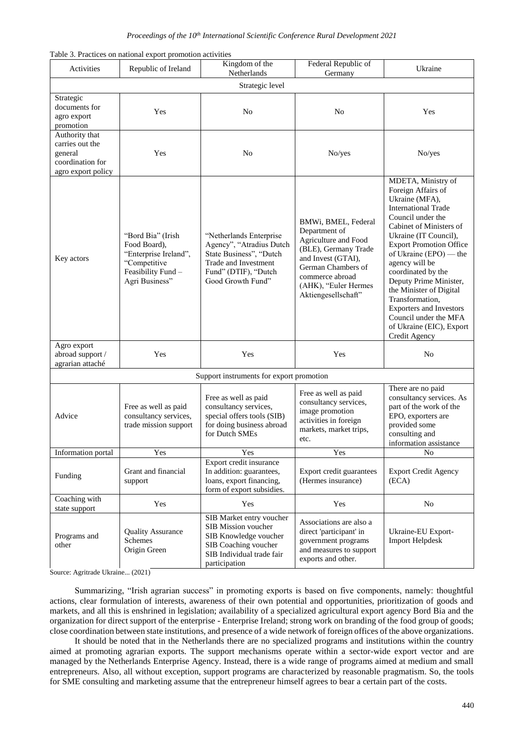## *Proceedings of the 10th International Scientific Conference Rural Development 2021*

|  |  | Table 3. Practices on national export promotion activities |  |
|--|--|------------------------------------------------------------|--|
|  |  |                                                            |  |

| Activities                                                                             | Republic of Ireland                                                                                                | Kingdom of the<br>Netherlands                                                                                                                       | Federal Republic of<br>Germany                                                                                                                                                                     | Ukraine                                                                                                                                                                                                                                                                                                                                                                                                                                               |  |  |  |  |
|----------------------------------------------------------------------------------------|--------------------------------------------------------------------------------------------------------------------|-----------------------------------------------------------------------------------------------------------------------------------------------------|----------------------------------------------------------------------------------------------------------------------------------------------------------------------------------------------------|-------------------------------------------------------------------------------------------------------------------------------------------------------------------------------------------------------------------------------------------------------------------------------------------------------------------------------------------------------------------------------------------------------------------------------------------------------|--|--|--|--|
| Strategic level                                                                        |                                                                                                                    |                                                                                                                                                     |                                                                                                                                                                                                    |                                                                                                                                                                                                                                                                                                                                                                                                                                                       |  |  |  |  |
| Strategic<br>documents for<br>agro export<br>promotion                                 | Yes                                                                                                                | N <sub>o</sub>                                                                                                                                      | N <sub>0</sub>                                                                                                                                                                                     | Yes                                                                                                                                                                                                                                                                                                                                                                                                                                                   |  |  |  |  |
| Authority that<br>carries out the<br>general<br>coordination for<br>agro export policy | Yes                                                                                                                | N <sub>o</sub>                                                                                                                                      | No/yes                                                                                                                                                                                             | No/yes                                                                                                                                                                                                                                                                                                                                                                                                                                                |  |  |  |  |
| Key actors                                                                             | "Bord Bia" (Irish<br>Food Board).<br>"Enterprise Ireland",<br>"Competitive<br>Feasibility Fund -<br>Agri Business" | "Netherlands Enterprise<br>Agency", "Atradius Dutch<br>State Business", "Dutch<br>Trade and Investment<br>Fund" (DTIF), "Dutch<br>Good Growth Fund" | BMWi, BMEL, Federal<br>Department of<br>Agriculture and Food<br>(BLE), Germany Trade<br>and Invest (GTAI),<br>German Chambers of<br>commerce abroad<br>(AHK), "Euler Hermes<br>Aktiengesellschaft" | MDETA, Ministry of<br>Foreign Affairs of<br>Ukraine (MFA),<br><b>International Trade</b><br>Council under the<br>Cabinet of Ministers of<br>Ukraine (IT Council),<br><b>Export Promotion Office</b><br>of Ukraine (EPO) — the<br>agency will be<br>coordinated by the<br>Deputy Prime Minister,<br>the Minister of Digital<br>Transformation.<br><b>Exporters and Investors</b><br>Council under the MFA<br>of Ukraine (EIC), Export<br>Credit Agency |  |  |  |  |
| Agro export<br>abroad support /<br>agrarian attaché                                    | Yes                                                                                                                | Yes                                                                                                                                                 | Yes                                                                                                                                                                                                | N <sub>0</sub>                                                                                                                                                                                                                                                                                                                                                                                                                                        |  |  |  |  |
| Support instruments for export promotion                                               |                                                                                                                    |                                                                                                                                                     |                                                                                                                                                                                                    |                                                                                                                                                                                                                                                                                                                                                                                                                                                       |  |  |  |  |
| Advice                                                                                 | Free as well as paid<br>consultancy services,<br>trade mission support                                             | Free as well as paid<br>consultancy services,<br>special offers tools (SIB)<br>for doing business abroad<br>for Dutch SMEs                          | Free as well as paid<br>consultancy services,<br>image promotion<br>activities in foreign<br>markets, market trips,<br>etc.                                                                        | There are no paid<br>consultancy services. As<br>part of the work of the<br>EPO, exporters are<br>provided some<br>consulting and<br>information assistance                                                                                                                                                                                                                                                                                           |  |  |  |  |
| Information portal                                                                     | Yes                                                                                                                | Yes                                                                                                                                                 | Yes                                                                                                                                                                                                | $\overline{N_0}$                                                                                                                                                                                                                                                                                                                                                                                                                                      |  |  |  |  |
| Funding                                                                                | Grant and financial<br>support                                                                                     | Export credit insurance<br>In addition: guarantees,<br>loans, export financing,<br>form of export subsidies.                                        | Export credit guarantees<br>(Hermes insurance)                                                                                                                                                     | <b>Export Credit Agency</b><br>(ECA)                                                                                                                                                                                                                                                                                                                                                                                                                  |  |  |  |  |
| Coaching with<br>state support                                                         | Yes                                                                                                                | Yes                                                                                                                                                 | Yes                                                                                                                                                                                                | No                                                                                                                                                                                                                                                                                                                                                                                                                                                    |  |  |  |  |
| Programs and<br>other                                                                  | <b>Quality Assurance</b><br>Schemes<br>Origin Green                                                                | SIB Market entry voucher<br>SIB Mission voucher<br>SIB Knowledge voucher<br>SIB Coaching voucher<br>SIB Individual trade fair<br>participation      | Associations are also a<br>direct 'participant' in<br>government programs<br>and measures to support<br>exports and other.                                                                         | Ukraine-EU Export-<br><b>Import Helpdesk</b>                                                                                                                                                                                                                                                                                                                                                                                                          |  |  |  |  |

Source: Agritrade Ukraine... (2021)

Summarizing, "Irish agrarian success" in promoting exports is based on five components, namely: thoughtful actions, clear formulation of interests, awareness of their own potential and opportunities, prioritization of goods and markets, and all this is enshrined in legislation; availability of a specialized agricultural export agency Bord Bia and the organization for direct support of the enterprise - Enterprise Ireland; strong work on branding of the food group of goods; close coordination between state institutions, and presence of a wide network of foreign offices of the above organizations.

It should be noted that in the Netherlands there are no specialized programs and institutions within the country aimed at promoting agrarian exports. The support mechanisms operate within a sector-wide export vector and are managed by the Netherlands Enterprise Agency. Instead, there is a wide range of programs aimed at medium and small entrepreneurs. Also, all without exception, support programs are characterized by reasonable pragmatism. So, the tools for SME consulting and marketing assume that the entrepreneur himself agrees to bear a certain part of the costs.